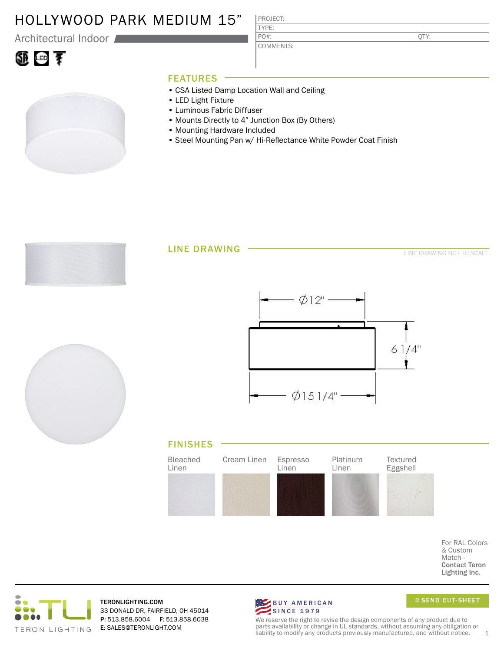### HOLLYWOOD PARK MEDIUM 15"

Architectural Indoor

#### PROJECT: TYPE:

COMMENTS: PO#:

QTY:

# ①画す

### FEATURES

- CSA Listed Damp Location Wall and Ceiling
- LED Light Fixture
- Luminous Fabric Diffuser
- Mounts Directly to 4" Junction Box (By Others)
- Mounting Hardware Included
- Steel Mounting Pan w/ Hi-Reflectance White Powder Coat Finish



#### LINE DRAWING

LINE DRAWING NOT TO SCALE







For RAL Colors & Custom Match - Contact Teron Lighting Inc.



TERONLIGHTING.COM 33 DONALD DR, FAIRFIELD, OH 45014 P: 513.858.6004 F: 513.858.6038 E: SALES@TERONLIGHT.COM



SEND CUT-SHEET

We reserve the right to revise the design components of any product due to parts availability or change in UL standards, without assuming any obligation or liability to modify any products previously manufactured, and without notice.  $1$